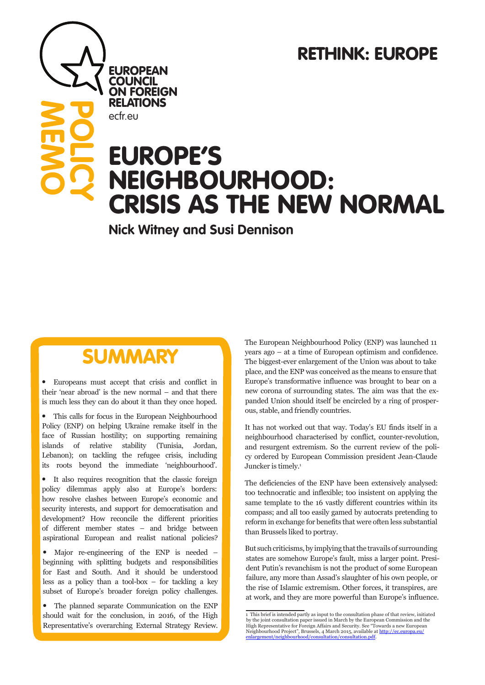# RETHINK: EUROPE

# EUROPE'S NEIGHBOURHOOD: CRISIS AS THE NEW NORMAL

**Nick Witney and Susi Dennison**

# SUMMARY

**EUROPEAN COUNCIL** ON FOREIGN RELATIONS

ecfr.eu

**MEMO**

**POLICY**

• Europeans must accept that crisis and conflict in their 'near abroad' is the new normal – and that there is much less they can do about it than they once hoped.

• This calls for focus in the European Neighbourhood Policy (ENP) on helping Ukraine remake itself in the face of Russian hostility; on supporting remaining islands of relative stability (Tunisia, Jordan, Lebanon); on tackling the refugee crisis, including its roots beyond the immediate 'neighbourhood'.

• It also requires recognition that the classic foreign policy dilemmas apply also at Europe's borders: how resolve clashes between Europe's economic and security interests, and support for democratisation and development? How reconcile the different priorities of different member states – and bridge between aspirational European and realist national policies?

• Major re-engineering of the ENP is needed – beginning with splitting budgets and responsibilities for East and South. And it should be understood less as a policy than a tool-box  $-$  for tackling a key subset of Europe's broader foreign policy challenges.

• The planned separate Communication on the ENP should wait for the conclusion, in 2016, of the High Representative's overarching External Strategy Review.

The European Neighbourhood Policy (ENP) was launched 11 years ago – at a time of European optimism and confidence. The biggest-ever enlargement of the Union was about to take place, and the ENP was conceived as the means to ensure that Europe's transformative influence was brought to bear on a new corona of surrounding states. The aim was that the expanded Union should itself be encircled by a ring of prosperous, stable, and friendly countries.

It has not worked out that way. Today's EU finds itself in a neighbourhood characterised by conflict, counter-revolution, and resurgent extremism. So the current review of the policy ordered by European Commission president Jean-Claude Juncker is timely.<sup>1</sup>

The deficiencies of the ENP have been extensively analysed: too technocratic and inflexible; too insistent on applying the same template to the 16 vastly different countries within its compass; and all too easily gamed by autocrats pretending to reform in exchange for benefits that were often less substantial than Brussels liked to portray.

But such criticisms, by implying that the travails of surrounding states are somehow Europe's fault, miss a larger point. President Putin's revanchism is not the product of some European failure, any more than Assad's slaughter of his own people, or the rise of Islamic extremism. Other forces, it transpires, are at work, and they are more powerful than Europe's influence.

<sup>1</sup> This brief is intended partly as input to the consultation phase of that review, initiated by the joint consultation paper issued in March by the European Commission and the High Representative for Foreign Affairs and Security. See "Towards a new European Neighbourhood Project", Brussels, 4 March 2015, available at <u>http://ec.europa.eu/</u><br><u>enlargement/neighbourhood/consultation/consultation.pdf</u>.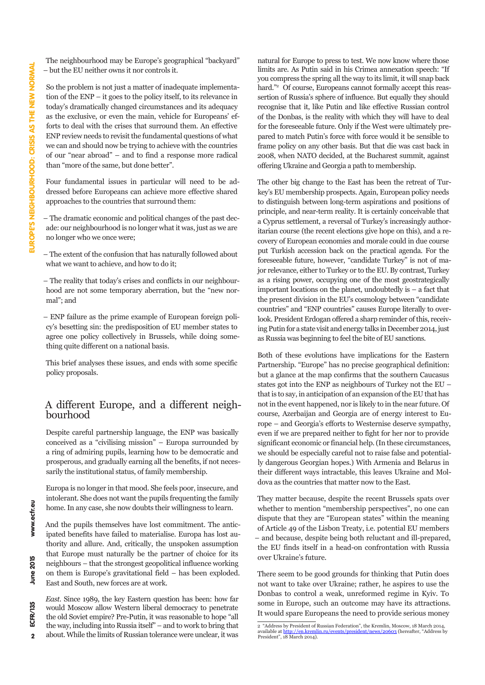The neighbourhood may be Europe's geographical "backyard" – but the EU neither owns it nor controls it.

So the problem is not just a matter of inadequate implementation of the ENP – it goes to the policy itself, to its relevance in today's dramatically changed circumstances and its adequacy as the exclusive, or even the main, vehicle for Europeans' efforts to deal with the crises that surround them. An effective ENP review needs to revisit the fundamental questions of what we can and should now be trying to achieve with the countries of our "near abroad" – and to find a response more radical than "more of the same, but done better".

Four fundamental issues in particular will need to be addressed before Europeans can achieve more effective shared approaches to the countries that surround them:

– The dramatic economic and political changes of the past decade: our neighbourhood is no longer what it was, just as we are no longer who we once were;

– The extent of the confusion that has naturally followed about what we want to achieve, and how to do it;

– The reality that today's crises and conflicts in our neighbourhood are not some temporary aberration, but the "new normal"; and

– ENP failure as the prime example of European foreign policy's besetting sin: the predisposition of EU member states to agree one policy collectively in Brussels, while doing something quite different on a national basis.

This brief analyses these issues, and ends with some specific policy proposals.

# A different Europe, and a different neigh- bourhood

Despite careful partnership language, the ENP was basically conceived as a "civilising mission" – Europa surrounded by a ring of admiring pupils, learning how to be democratic and prosperous, and gradually earning all the benefits, if not necessarily the institutional status, of family membership.

Europa is no longer in that mood. She feels poor, insecure, and intolerant. She does not want the pupils frequenting the family home. In any case, she now doubts their willingness to learn.

And the pupils themselves have lost commitment. The anticipated benefits have failed to materialise. Europa has lost authority and allure. And, critically, the unspoken assumption that Europe must naturally be the partner of choice for its neighbours – that the strongest geopolitical influence working on them is Europe's gravitational field – has been exploded. East and South, new forces are at work.

*East*. Since 1989, the key Eastern question has been: how far would Moscow allow Western liberal democracy to penetrate the old Soviet empire? Pre-Putin, it was reasonable to hope "all the way, including into Russia itself" – and to work to bring that about. While the limits of Russian tolerance were unclear, it was

natural for Europe to press to test. We now know where those limits are. As Putin said in his Crimea annexation speech: "If you compress the spring all the way to its limit, it will snap back hard."<sup>2</sup> Of course, Europeans cannot formally accept this reassertion of Russia's sphere of influence. But equally they should recognise that it, like Putin and like effective Russian control of the Donbas, is the reality with which they will have to deal for the foreseeable future. Only if the West were ultimately prepared to match Putin's force with force would it be sensible to frame policy on any other basis. But that die was cast back in 2008, when NATO decided, at the Bucharest summit, against offering Ukraine and Georgia a path to membership.

The other big change to the East has been the retreat of Turkey's EU membership prospects. Again, European policy needs to distinguish between long-term aspirations and positions of principle, and near-term reality. It is certainly conceivable that a Cyprus settlement, a reversal of Turkey's increasingly authoritarian course (the recent elections give hope on this), and a recovery of European economies and morale could in due course put Turkish accession back on the practical agenda. For the foreseeable future, however, "candidate Turkey" is not of major relevance, either to Turkey or to the EU. By contrast, Turkey as a rising power, occupying one of the most geostrategically important locations on the planet, undoubtedly is – a fact that the present division in the EU's cosmology between "candidate countries" and "ENP countries" causes Europe literally to overlook. President Erdogan offered a sharp reminder of this, receiving Putin for a state visit and energy talks in December 2014, just as Russia was beginning to feel the bite of EU sanctions.

Both of these evolutions have implications for the Eastern Partnership. "Europe" has no precise geographical definition: but a glance at the map confirms that the southern Caucasus states got into the ENP as neighbours of Turkey not the EU – that is to say, in anticipation of an expansion of the EU that has not in the event happened, nor is likely to in the near future. Of course, Azerbaijan and Georgia are of energy interest to Europe – and Georgia's efforts to Westernise deserve sympathy, even if we are prepared neither to fight for her nor to provide significant economic or financial help. (In these circumstances, we should be especially careful not to raise false and potentially dangerous Georgian hopes.) With Armenia and Belarus in their different ways intractable, this leaves Ukraine and Moldova as the countries that matter now to the East.

They matter because, despite the recent Brussels spats over whether to mention "membership perspectives", no one can dispute that they are "European states" within the meaning of Article 49 of the Lisbon Treaty, i.e. potential EU members – and because, despite being both reluctant and ill-prepared, the EU finds itself in a head-on confrontation with Russia over Ukraine's future.

There seem to be good grounds for thinking that Putin does not want to take over Ukraine; rather, he aspires to use the Donbas to control a weak, unreformed regime in Kyiv. To some in Europe, such an outcome may have its attractions. It would spare Europeans the need to provide serious money

 $\overline{2}$ 

www.ecfr.eu

<sup>2 &</sup>quot;Address by President of Russian Federation", the Kremlin, Moscow, 18 March 2014, available at <u>http://en.kremlin.ru/events/president/news/20603</u> (hereafter, "Address by President", 18 March 2014).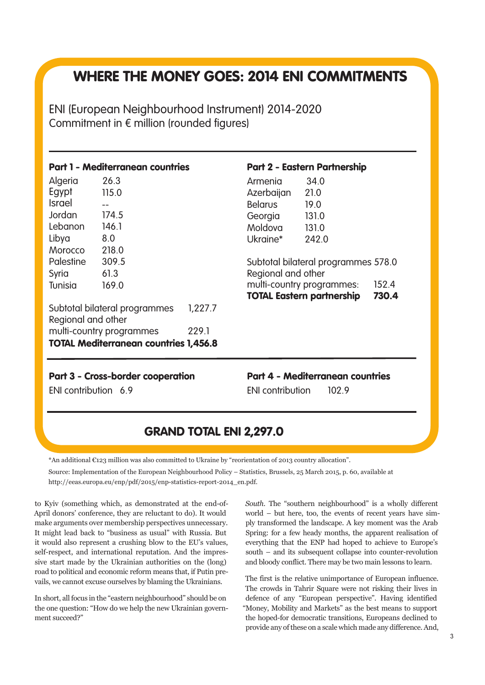# WHERE THE MONEY GOES: 2014 ENI COMMITMENTS

ENI (European Neighbourhood Instrument) 2014-2020 Commitment in € million (rounded figures)

| <b>Part 1 - Mediterranean countries</b>             |       |         |  |  |
|-----------------------------------------------------|-------|---------|--|--|
| Algeria                                             | 26.3  |         |  |  |
| Egypt                                               | 115.0 |         |  |  |
| <b>Israel</b>                                       |       |         |  |  |
| Jordan                                              | 174.5 |         |  |  |
| Lebanon                                             | 146.1 |         |  |  |
| Libya                                               | 8.0   |         |  |  |
| Morocco                                             | 218.0 |         |  |  |
| Palestine                                           | 309.5 |         |  |  |
| Syria                                               | 61.3  |         |  |  |
| Tunisia                                             | 169.0 |         |  |  |
| Subtotal bilateral programmes<br>Regional and other |       | 1,227.7 |  |  |
| multi-country programmes                            | 229.1 |         |  |  |
| <b>TOTAL Mediterranean countries 1,456.8</b>        |       |         |  |  |

### Part 2 - Eastern Partnership

|                                     | <b>TOTAL Eastern partnership</b> | 730.4 |  |  |
|-------------------------------------|----------------------------------|-------|--|--|
| multi-country programmes:<br>152.4  |                                  |       |  |  |
| Regional and other                  |                                  |       |  |  |
| Subtotal bilateral programmes 578.0 |                                  |       |  |  |
| Ukraine*                            | 242.0                            |       |  |  |
|                                     |                                  |       |  |  |
| Moldova                             | 131.0                            |       |  |  |
| Georgia                             | 131.0                            |       |  |  |
| <b>Belarus</b>                      | 19.0                             |       |  |  |
| Azerbaijan                          | 21.0                             |       |  |  |
| Armenia                             | 34.0                             |       |  |  |

#### Part 3 - Cross-border cooperation Part 4 - Mediterranean countries

ENI contribution 6.9 ENI contribution 102.9

# GRAND TOTAL ENI 2,297.0

\*An additional €123 million was also committed to Ukraine by "reorientation of 2013 country allocation".

Source: Implementation of the European Neighbourhood Policy – Statistics, Brussels, 25 March 2015, p. 60, available at http://eeas.europa.eu/enp/pdf/2015/enp-statistics-report-2014\_en.pdf.

to Kyiv (something which, as demonstrated at the end-of-April donors' conference, they are reluctant to do). It would make arguments over membership perspectives unnecessary. It might lead back to "business as usual" with Russia. But it would also represent a crushing blow to the EU's values, self-respect, and international reputation. And the impressive start made by the Ukrainian authorities on the (long) road to political and economic reform means that, if Putin prevails, we cannot excuse ourselves by blaming the Ukrainians.

In short, all focus in the "eastern neighbourhood" should be on the one question: "How do we help the new Ukrainian government succeed?"

*South.* The "southern neighbourhood" is a wholly different world – but here, too, the events of recent years have simply transformed the landscape. A key moment was the Arab Spring: for a few heady months, the apparent realisation of everything that the ENP had hoped to achieve to Europe's south – and its subsequent collapse into counter-revolution and bloody conflict. There may be two main lessons to learn.

The first is the relative unimportance of European influence. The crowds in Tahrir Square were not risking their lives in defence of any "European perspective". Having identified "Money, Mobility and Markets" as the best means to support the hoped-for democratic transitions, Europeans declined to provide any of these on a scale which made any difference. And,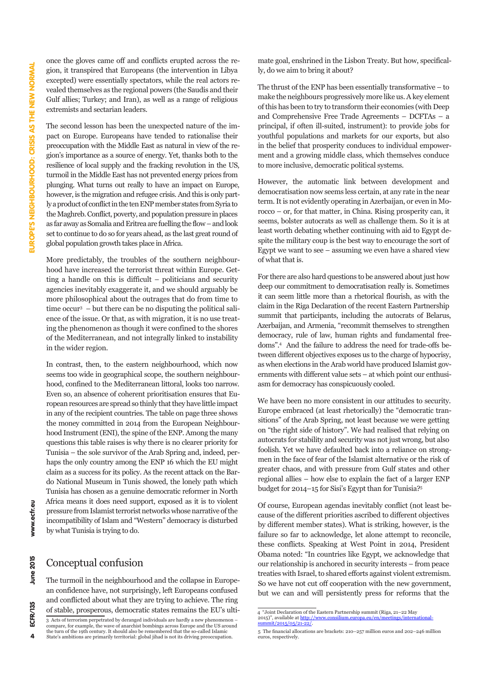once the gloves came off and conflicts erupted across the region, it transpired that Europeans (the intervention in Libya excepted) were essentially spectators, while the real actors revealed themselves as the regional powers (the Saudis and their Gulf allies; Turkey; and Iran), as well as a range of religious extremists and sectarian leaders.

The second lesson has been the unexpected nature of the impact on Europe. Europeans have tended to rationalise their preoccupation with the Middle East as natural in view of the region's importance as a source of energy. Yet, thanks both to the resilience of local supply and the fracking revolution in the US, turmoil in the Middle East has not prevented energy prices from plunging. What turns out really to have an impact on Europe, however, is the migration and refugee crisis. And this is only partly a product of conflict in the ten ENP member states from Syria to the Maghreb. Conflict, poverty, and population pressure in places as far away as Somalia and Eritrea are fuelling the flow – and look set to continue to do so for years ahead, as the last great round of global population growth takes place in Africa.

More predictably, the troubles of the southern neighbourhood have increased the terrorist threat within Europe. Getting a handle on this is difficult – politicians and security agencies inevitably exaggerate it, and we should arguably be more philosophical about the outrages that do from time to time occur3 – but there can be no disputing the political salience of the issue. Or that, as with migration, it is no use treating the phenomenon as though it were confined to the shores of the Mediterranean, and not integrally linked to instability in the wider region.

In contrast, then, to the eastern neighbourhood, which now seems too wide in geographical scope, the southern neighbourhood, confined to the Mediterranean littoral, looks too narrow. Even so, an absence of coherent prioritisation ensures that European resources are spread so thinly that they have little impact in any of the recipient countries. The table on page three shows the money committed in 2014 from the European Neighbourhood Instrument (ENI), the spine of the ENP. Among the many questions this table raises is why there is no clearer priority for Tunisia – the sole survivor of the Arab Spring and, indeed, perhaps the only country among the ENP 16 which the EU might claim as a success for its policy. As the recent attack on the Bardo National Museum in Tunis showed, the lonely path which Tunisia has chosen as a genuine democratic reformer in North Africa means it does need support, exposed as it is to violent pressure from Islamist terrorist networks whose narrative of the incompatibility of Islam and "Western" democracy is disturbed by what Tunisia is trying to do.

### Conceptual confusion

The turmoil in the neighbourhood and the collapse in European confidence have, not surprisingly, left Europeans confused and conflicted about what they are trying to achieve. The ring of stable, prosperous, democratic states remains the EU's ultimate goal, enshrined in the Lisbon Treaty. But how, specifically, do we aim to bring it about?

The thrust of the ENP has been essentially transformative – to make the neighbours progressively more like us. A key element of this has been to try to transform their economies (with Deep and Comprehensive Free Trade Agreements – DCFTAs – a principal, if often ill-suited, instrument): to provide jobs for youthful populations and markets for our exports, but also in the belief that prosperity conduces to individual empowerment and a growing middle class, which themselves conduce to more inclusive, democratic political systems.

However, the automatic link between development and democratisation now seems less certain, at any rate in the near term. It is not evidently operating in Azerbaijan, or even in Morocco – or, for that matter, in China. Rising prosperity can, it seems, bolster autocrats as well as challenge them. So it is at least worth debating whether continuing with aid to Egypt despite the military coup is the best way to encourage the sort of Egypt we want to see  $-$  assuming we even have a shared view of what that is.

For there are also hard questions to be answered about just how deep our commitment to democratisation really is. Sometimes it can seem little more than a rhetorical flourish, as with the claim in the Riga Declaration of the recent Eastern Partnership summit that participants, including the autocrats of Belarus, Azerbaijan, and Armenia, "recommit themselves to strengthen democracy, rule of law, human rights and fundamental freedoms".4 And the failure to address the need for trade-offs between different objectives exposes us to the charge of hypocrisy, as when elections in the Arab world have produced Islamist governments with different value sets – at which point our enthusiasm for democracy has conspicuously cooled.

We have been no more consistent in our attitudes to security. Europe embraced (at least rhetorically) the "democratic transitions" of the Arab Spring, not least because we were getting on "the right side of history". We had realised that relying on autocrats for stability and security was not just wrong, but also foolish. Yet we have defaulted back into a reliance on strongmen in the face of fear of the Islamist alternative or the risk of greater chaos, and with pressure from Gulf states and other regional allies – how else to explain the fact of a larger ENP budget for 2014–15 for Sisi's Egypt than for Tunisia?5

Of course, European agendas inevitably conflict (not least because of the different priorities ascribed to different objectives by different member states). What is striking, however, is the failure so far to acknowledge, let alone attempt to reconcile, these conflicts. Speaking at West Point in 2014, President Obama noted: "In countries like Egypt, we acknowledge that our relationship is anchored in security interests – from peace treaties with Israel, to shared efforts against violent extremism. So we have not cut off cooperation with the new government, but we can and will persistently press for reforms that the

 $\Delta$ 

www.ecfr.eu

<sup>3</sup> Acts of terrorism perpetrated by deranged individuals are hardly a new phenomenon – compare, for example, the wave of anarchist bombings across Europe and the US around the turn of the 19th century. It should also be remembered that the so-called Islamic State's ambitions are primarily territorial: global jihad is not its driving preoccupation.

 $\frac{4}{4}$  "Joint Declaration of the Eastern Partnership summit (Riga, 21–22 May)<br>2015)" available at http://www.consilium europa eu/en/meetings/interna 2015)", available at http://www.consilium.eu summit/2015/05/21-22/.

<sup>5</sup> The financial allocations are brackets: 210–257 million euros and 202–246 million euros, respectively.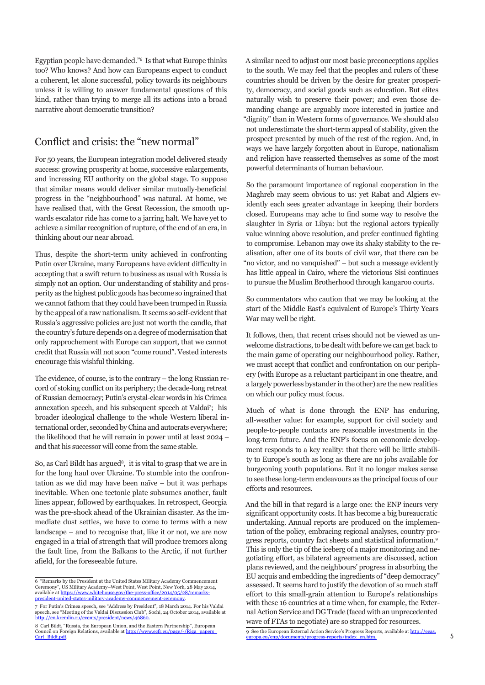Egyptian people have demanded."6 Is that what Europe thinks too? Who knows? And how can Europeans expect to conduct a coherent, let alone successful, policy towards its neighbours unless it is willing to answer fundamental questions of this kind, rather than trying to merge all its actions into a broad narrative about democratic transition?

# Conflict and crisis: the "new normal"

For 50 years, the European integration model delivered steady success: growing prosperity at home, successive enlargements, and increasing EU authority on the global stage. To suppose that similar means would deliver similar mutually-beneficial progress in the "neighbourhood" was natural. At home, we have realised that, with the Great Recession, the smooth upwards escalator ride has come to a jarring halt. We have yet to achieve a similar recognition of rupture, of the end of an era, in thinking about our near abroad.

Thus, despite the short-term unity achieved in confronting Putin over Ukraine, many Europeans have evident difficulty in accepting that a swift return to business as usual with Russia is simply not an option. Our understanding of stability and prosperity as the highest public goods has become so ingrained that we cannot fathom that they could have been trumped in Russia by the appeal of a raw nationalism. It seems so self-evident that Russia's aggressive policies are just not worth the candle, that the country's future depends on a degree of modernisation that only rapprochement with Europe can support, that we cannot credit that Russia will not soon "come round". Vested interests encourage this wishful thinking.

The evidence, of course, is to the contrary – the long Russian record of stoking conflict on its periphery; the decade-long retreat of Russian democracy; Putin's crystal-clear words in his Crimea annexation speech, and his subsequent speech at Valdai7 ; his broader ideological challenge to the whole Western liberal international order, seconded by China and autocrats everywhere; the likelihood that he will remain in power until at least 2024 – and that his successor will come from the same stable.

So, as Carl Bildt has argued<sup>8</sup>, it is vital to grasp that we are in for the long haul over Ukraine. To stumble into the confrontation as we did may have been naïve – but it was perhaps inevitable. When one tectonic plate subsumes another, fault lines appear, followed by earthquakes. In retrospect, Georgia was the pre-shock ahead of the Ukrainian disaster. As the immediate dust settles, we have to come to terms with a new landscape – and to recognise that, like it or not, we are now engaged in a trial of strength that will produce tremors along the fault line, from the Balkans to the Arctic, if not further afield, for the foreseeable future.

A similar need to adjust our most basic preconceptions applies to the south. We may feel that the peoples and rulers of these countries should be driven by the desire for greater prosperity, democracy, and social goods such as education. But elites naturally wish to preserve their power; and even those demanding change are arguably more interested in justice and "dignity" than in Western forms of governance. We should also not underestimate the short-term appeal of stability, given the prospect presented by much of the rest of the region. And, in ways we have largely forgotten about in Europe, nationalism and religion have reasserted themselves as some of the most powerful determinants of human behaviour.

So the paramount importance of regional cooperation in the Maghreb may seem obvious to us: yet Rabat and Algiers evidently each sees greater advantage in keeping their borders closed. Europeans may ache to find some way to resolve the slaughter in Syria or Libya: but the regional actors typically value winning above resolution, and prefer continued fighting to compromise. Lebanon may owe its shaky stability to the realisation, after one of its bouts of civil war, that there can be "no victor, and no vanquished" – but such a message evidently has little appeal in Cairo, where the victorious Sisi continues to pursue the Muslim Brotherhood through kangaroo courts.

So commentators who caution that we may be looking at the start of the Middle East's equivalent of Europe's Thirty Years War may well be right.

It follows, then, that recent crises should not be viewed as unwelcome distractions, to be dealt with before we can get back to the main game of operating our neighbourhood policy. Rather, we must accept that conflict and confrontation on our periphery (with Europe as a reluctant participant in one theatre, and a largely powerless bystander in the other) are the new realities on which our policy must focus.

Much of what is done through the ENP has enduring, all-weather value: for example, support for civil society and people-to-people contacts are reasonable investments in the long-term future. And the ENP's focus on economic development responds to a key reality: that there will be little stability to Europe's south as long as there are no jobs available for burgeoning youth populations. But it no longer makes sense to see these long-term endeavours as the principal focus of our efforts and resources.

And the bill in that regard is a large one: the ENP incurs very significant opportunity costs. It has become a big bureaucratic undertaking. Annual reports are produced on the implementation of the policy, embracing regional analyses, country progress reports, country fact sheets and statistical information.9 This is only the tip of the iceberg of a major monitoring and negotiating effort, as bilateral agreements are discussed, action plans reviewed, and the neighbours' progress in absorbing the EU acquis and embedding the ingredients of "deep democracy" assessed. It seems hard to justify the devotion of so much staff effort to this small-grain attention to Europe's relationships with these 16 countries at a time when, for example, the External Action Service and DG Trade (faced with an unprecedented wave of FTAs to negotiate) are so strapped for resources.

9 See the European External Action Service's Progress Reports, available at http://eeas. europa.eu/enp/documents/progress-reports/index\_en.htm.

<sup>6 &</sup>quot;Remarks by the President at the United States Military Academy Commencement Ceremony", US Military Academy–West Point, West Point, New York, 28 May 2014, available at https://www.whitehouse.gov/the-press-office/2014/05/28/remarkspresident-united-states-military-academy-commencement-ceremony.

<sup>7</sup> For Putin's Crimea speech, see "Address by President", 18 March 2014. For his Valdai speech, see "Meeting of the Valdai Discussion Club", Sochi, 24 October 2014, available at http://en.kremlin.ru/events/president/news/4686

<sup>8</sup> Carl Bildt, "Russia, the European Union, and the Eastern Partnership", European Council on Foreign Relations, available at http://www.ecf Carl\_Bildt.pdf.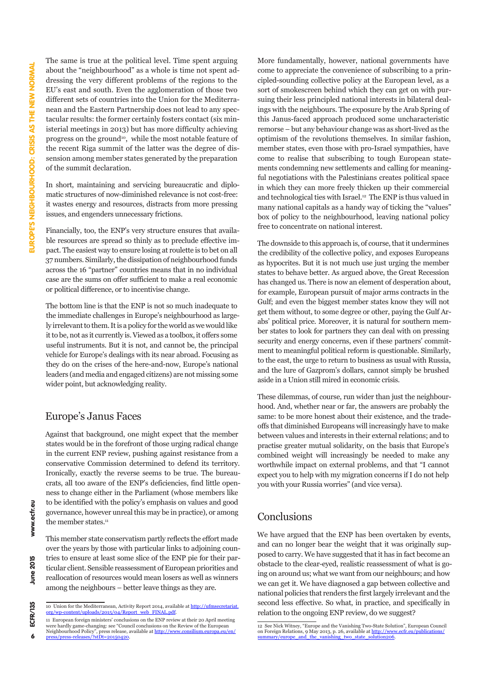The same is true at the political level. Time spent arguing about the "neighbourhood" as a whole is time not spent addressing the very different problems of the regions to the EU's east and south. Even the agglomeration of those two different sets of countries into the Union for the Mediterranean and the Eastern Partnership does not lead to any spectacular results: the former certainly fosters contact (six ministerial meetings in 2013) but has more difficulty achieving progress on the ground<sup>10</sup>, while the most notable feature of the recent Riga summit of the latter was the degree of dissension among member states generated by the preparation of the summit declaration.

In short, maintaining and servicing bureaucratic and diplomatic structures of now-diminished relevance is not cost-free: it wastes energy and resources, distracts from more pressing issues, and engenders unnecessary frictions.

Financially, too, the ENP's very structure ensures that available resources are spread so thinly as to preclude effective impact. The easiest way to ensure losing at roulette is to bet on all 37 numbers. Similarly, the dissipation of neighbourhood funds across the 16 "partner" countries means that in no individual case are the sums on offer sufficient to make a real economic or political difference, or to incentivise change.

The bottom line is that the ENP is not so much inadequate to the immediate challenges in Europe's neighbourhood as largely irrelevant to them. It is a policy for the world as we would like it to be, not as it currently is. Viewed as a toolbox, it offers some useful instruments. But it is not, and cannot be, the principal vehicle for Europe's dealings with its near abroad. Focusing as they do on the crises of the here-and-now, Europe's national leaders (and media and engaged citizens) are not missing some wider point, but acknowledging reality.

### Europe's Janus Faces

Against that background, one might expect that the member states would be in the forefront of those urging radical change in the current ENP review, pushing against resistance from a conservative Commission determined to defend its territory. Ironically, exactly the reverse seems to be true. The bureaucrats, all too aware of the ENP's deficiencies, find little openness to change either in the Parliament (whose members like to be identified with the policy's emphasis on values and good governance, however unreal this may be in practice), or among the member states.<sup>11</sup>

This member state conservatism partly reflects the effort made over the years by those with particular links to adjoining countries to ensure at least some slice of the ENP pie for their particular client. Sensible reassessment of European priorities and reallocation of resources would mean losers as well as winners among the neighbours – better leave things as they are.

More fundamentally, however, national governments have come to appreciate the convenience of subscribing to a principled-sounding collective policy at the European level, as a sort of smokescreen behind which they can get on with pursuing their less principled national interests in bilateral dealings with the neighbours. The exposure by the Arab Spring of this Janus-faced approach produced some uncharacteristic remorse – but any behaviour change was as short-lived as the optimism of the revolutions themselves. In similar fashion, member states, even those with pro-Israel sympathies, have come to realise that subscribing to tough European statements condemning new settlements and calling for meaningful negotiations with the Palestinians creates political space in which they can more freely thicken up their commercial and technological ties with Israel.<sup>12</sup> The ENP is thus valued in many national capitals as a handy way of ticking the "values" box of policy to the neighbourhood, leaving national policy free to concentrate on national interest.

The downside to this approach is, of course, that it undermines the credibility of the collective policy, and exposes Europeans as hypocrites. But it is not much use just urging the member states to behave better. As argued above, the Great Recession has changed us. There is now an element of desperation about, for example, European pursuit of major arms contracts in the Gulf; and even the biggest member states know they will not get them without, to some degree or other, paying the Gulf Arabs' political price. Moreover, it is natural for southern member states to look for partners they can deal with on pressing security and energy concerns, even if these partners' commitment to meaningful political reform is questionable. Similarly, to the east, the urge to return to business as usual with Russia, and the lure of Gazprom's dollars, cannot simply be brushed aside in a Union still mired in economic crisis.

These dilemmas, of course, run wider than just the neighbourhood. And, whether near or far, the answers are probably the same: to be more honest about their existence, and the tradeoffs that diminished Europeans will increasingly have to make between values and interests in their external relations; and to practise greater mutual solidarity, on the basis that Europe's combined weight will increasingly be needed to make any worthwhile impact on external problems, and that "I cannot expect you to help with my migration concerns if I do not help you with your Russia worries" (and vice versa).

### Conclusions

We have argued that the ENP has been overtaken by events, and can no longer bear the weight that it was originally supposed to carry. We have suggested that it has in fact become an obstacle to the clear-eyed, realistic reassessment of what is going on around us; what we want from our neighbours; and how we can get it. We have diagnosed a gap between collective and national policies that renders the first largely irrelevant and the second less effective. So what, in practice, and specifically in relation to the ongoing ENP review, do we suggest?

**ECFR/135** 

6

<sup>10</sup> Union for the Mediterranean, Activity Report 2014, available at  $\frac{http://ufnsecretariat.org/wn-content/unload/2015/04/Renortweb-FINAL.pdf.$ s/2015/04/Repor

<sup>11</sup> European foreign ministers' conclusions on the ENP review at their 20 April meeting were hardly game-changing: see "Council conclusions on the Review of the European Neighbourhood Policy", press release, available at <u>http://www.consilium.europa.eu/en/</u><br><u>press/press-releases/?stDt=20150420</u>.

<sup>12</sup> See Nick Witney, "Europe and the Vanishing Two-State Solution", European Council on Foreign Relations, 9 May 2013, p. 26, available at http://www.ecfr.eu/publications/<br>summary/europe\_and\_the\_vanishing\_two\_state\_solution206.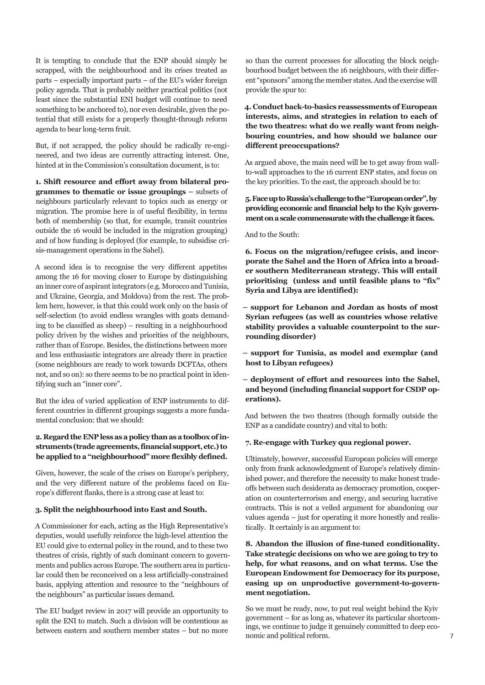It is tempting to conclude that the ENP should simply be scrapped, with the neighbourhood and its crises treated as parts – especially important parts – of the EU's wider foreign policy agenda. That is probably neither practical politics (not least since the substantial ENI budget will continue to need something to be anchored to), nor even desirable, given the potential that still exists for a properly thought-through reform agenda to bear long-term fruit.

But, if not scrapped, the policy should be radically re-engineered, and two ideas are currently attracting interest. One, hinted at in the Commission's consultation document, is to:

**1. Shift resource and effort away from bilateral programmes to thematic or issue groupings –** subsets of neighbours particularly relevant to topics such as energy or migration. The promise here is of useful flexibility, in terms both of membership (so that, for example, transit countries outside the 16 would be included in the migration grouping) and of how funding is deployed (for example, to subsidise crisis-management operations in the Sahel).

A second idea is to recognise the very different appetites among the 16 for moving closer to Europe by distinguishing an inner core of aspirant integrators (e.g. Morocco and Tunisia, and Ukraine, Georgia, and Moldova) from the rest. The problem here, however, is that this could work only on the basis of self-selection (to avoid endless wrangles with goats demanding to be classified as sheep) – resulting in a neighbourhood policy driven by the wishes and priorities of the neighbours, rather than of Europe. Besides, the distinctions between more and less enthusiastic integrators are already there in practice (some neighbours are ready to work towards DCFTAs, others not, and so on): so there seems to be no practical point in identifying such an "inner core".

But the idea of varied application of ENP instruments to different countries in different groupings suggests a more fundamental conclusion: that we should:

#### **2. Regard the ENP less as a policy than as a toolbox of instruments (trade agreements, financial support, etc.) to be applied to a "neighbourhood" more flexibly defined.**

Given, however, the scale of the crises on Europe's periphery, and the very different nature of the problems faced on Europe's different flanks, there is a strong case at least to:

#### **3. Split the neighbourhood into East and South.**

A Commissioner for each, acting as the High Representative's deputies, would usefully reinforce the high-level attention the EU could give to external policy in the round, and to these two theatres of crisis, rightly of such dominant concern to governments and publics across Europe. The southern area in particular could then be reconceived on a less artificially-constrained basis, applying attention and resource to the "neighbours of the neighbours" as particular issues demand.

The EU budget review in 2017 will provide an opportunity to split the ENI to match. Such a division will be contentious as between eastern and southern member states – but no more so than the current processes for allocating the block neighbourhood budget between the 16 neighbours, with their different "sponsors" among the member states. And the exercise will provide the spur to:

**4. Conduct back-to-basics reassessments of European interests, aims, and strategies in relation to each of the two theatres: what do we really want from neighbouring countries, and how should we balance our different preoccupations?** 

As argued above, the main need will be to get away from wallto-wall approaches to the 16 current ENP states, and focus on the key priorities. To the east, the approach should be to:

#### **5. Face up to Russia's challenge to the "European order", by providing economic and financial help to the Kyiv government on a scale commensurate with the challenge it faces.**

#### And to the South:

**6. Focus on the migration/refugee crisis, and incorporate the Sahel and the Horn of Africa into a broader southern Mediterranean strategy. This will entail prioritising (unless and until feasible plans to "fix" Syria and Libya are identified):**

**– support for Lebanon and Jordan as hosts of most Syrian refugees (as well as countries whose relative stability provides a valuable counterpoint to the surrounding disorder)** 

**– support for Tunisia, as model and exemplar (and host to Libyan refugees)**

**– deployment of effort and resources into the Sahel, and beyond (including financial support for CSDP operations).**

And between the two theatres (though formally outside the ENP as a candidate country) and vital to both:

#### **7. Re-engage with Turkey qua regional power.**

Ultimately, however, successful European policies will emerge only from frank acknowledgment of Europe's relatively diminished power, and therefore the necessity to make honest tradeoffs between such desiderata as democracy promotion, cooperation on counterterrorism and energy, and securing lucrative contracts. This is not a veiled argument for abandoning our values agenda – just for operating it more honestly and realistically. It certainly is an argument to:

#### **8. Abandon the illusion of fine-tuned conditionality. Take strategic decisions on who we are going to try to help, for what reasons, and on what terms. Use the European Endowment for Democracy for its purpose, easing up on unproductive government-to-government negotiation.**

So we must be ready, now, to put real weight behind the Kyiv government – for as long as, whatever its particular shortcomings, we continue to judge it genuinely committed to deep economic and political reform.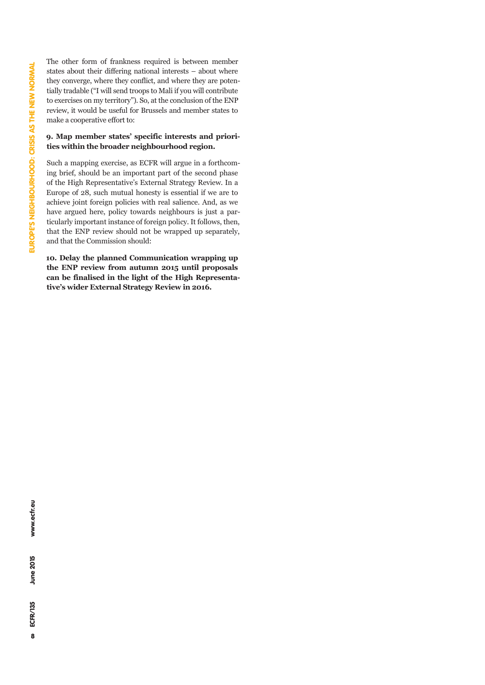The other form of frankness required is between member states about their differing national interests – about where they converge, where they conflict, and where they are potentially tradable ("I will send troops to Mali if you will contribute to exercises on my territory"). So, at the conclusion of the ENP review, it would be useful for Brussels and member states to make a cooperative effort to:

#### **9. Map member states' specific interests and priorities within the broader neighbourhood region.**

Such a mapping exercise, as ECFR will argue in a forthcoming brief, should be an important part of the second phase of the High Representative's External Strategy Review. In a Europe of 28, such mutual honesty is essential if we are to achieve joint foreign policies with real salience. And, as we have argued here, policy towards neighbours is just a particularly important instance of foreign policy. It follows, then, that the ENP review should not be wrapped up separately, and that the Commission should:

**10. Delay the planned Communication wrapping up the ENP review from autumn 2015 until proposals can be finalised in the light of the High Representative's wider External Strategy Review in 2016.**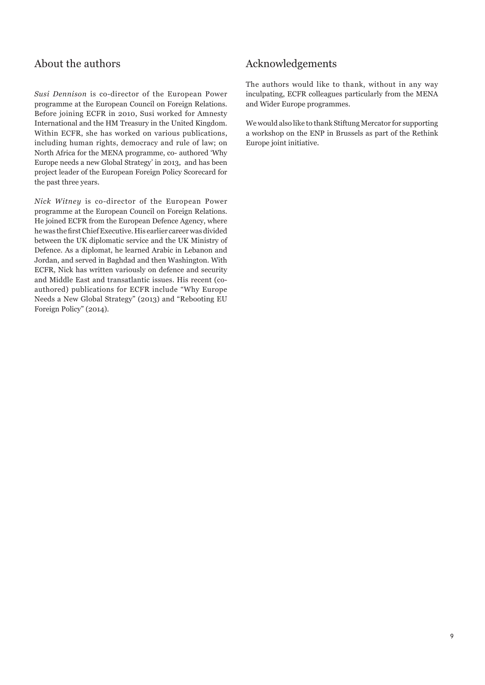# About the authors

*Susi Dennison* is co-director of the European Power programme at the European Council on Foreign Relations. Before joining ECFR in 2010, Susi worked for Amnesty International and the HM Treasury in the United Kingdom. Within ECFR, she has worked on various publications, including human rights, democracy and rule of law; on North Africa for the MENA programme, co- authored 'Why Europe needs a new Global Strategy' in 2013, and has been project leader of the European Foreign Policy Scorecard for the past three years.

*Nick Witney* is co-director of the European Power programme at the European Council on Foreign Relations. He joined ECFR from the European Defence Agency, where he was the first Chief Executive. His earlier career was divided between the UK diplomatic service and the UK Ministry of Defence. As a diplomat, he learned Arabic in Lebanon and Jordan, and served in Baghdad and then Washington. With ECFR, Nick has written variously on defence and security and Middle East and transatlantic issues. His recent (coauthored) publications for ECFR include "Why Europe Needs a New Global Strategy" (2013) and "Rebooting EU Foreign Policy" (2014).

# Acknowledgements

The authors would like to thank, without in any way inculpating, ECFR colleagues particularly from the MENA and Wider Europe programmes.

We would also like to thank Stiftung Mercator for supporting a workshop on the ENP in Brussels as part of the Rethink Europe joint initiative.